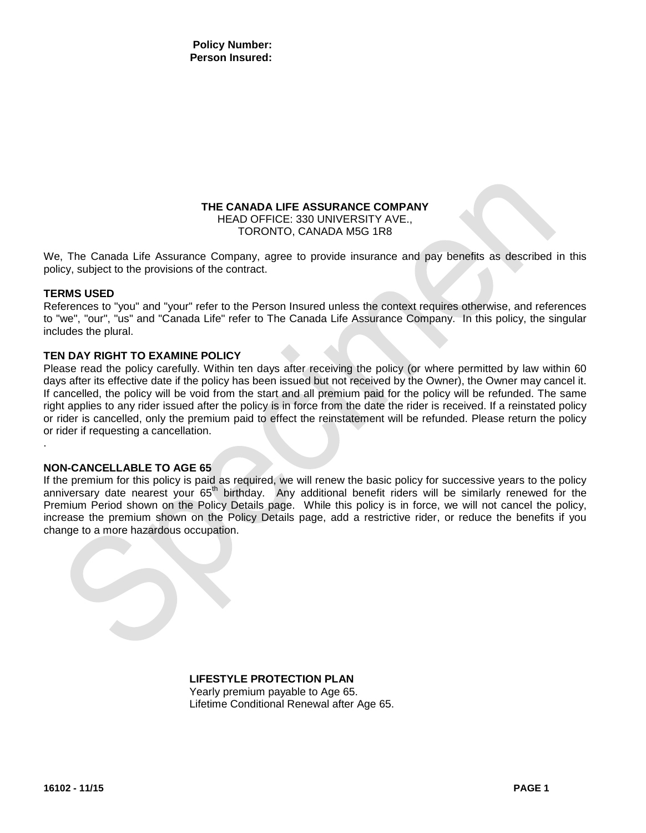**Policy Number: Person Insured:**

### **THE CANADA LIFE ASSURANCE COMPANY**

HEAD OFFICE: 330 UNIVERSITY AVE., TORONTO, CANADA M5G 1R8

We, The Canada Life Assurance Company, agree to provide insurance and pay benefits as described in this policy, subject to the provisions of the contract.

#### **TERMS USED**

.

References to "you" and "your" refer to the Person Insured unless the context requires otherwise, and references to "we", "our", "us" and "Canada Life" refer to The Canada Life Assurance Company. In this policy, the singular includes the plural.

### **TEN DAY RIGHT TO EXAMINE POLICY**

Please read the policy carefully. Within ten days after receiving the policy (or where permitted by law within 60 days after its effective date if the policy has been issued but not received by the Owner), the Owner may cancel it. If cancelled, the policy will be void from the start and all premium paid for the policy will be refunded. The same right applies to any rider issued after the policy is in force from the date the rider is received. If a reinstated policy or rider is cancelled, only the premium paid to effect the reinstatement will be refunded. Please return the policy or rider if requesting a cancellation.

### **NON-CANCELLABLE TO AGE 65**

If the premium for this policy is paid as required, we will renew the basic policy for successive years to the policy anniversary date nearest your 65<sup>th</sup> birthday. Any additional benefit riders will be similarly renewed for the Premium Period shown on the Policy Details page. While this policy is in force, we will not cancel the policy, increase the premium shown on the Policy Details page, add a restrictive rider, or reduce the benefits if you change to a more hazardous occupation.

> **LIFESTYLE PROTECTION PLAN** Yearly premium payable to Age 65. Lifetime Conditional Renewal after Age 65.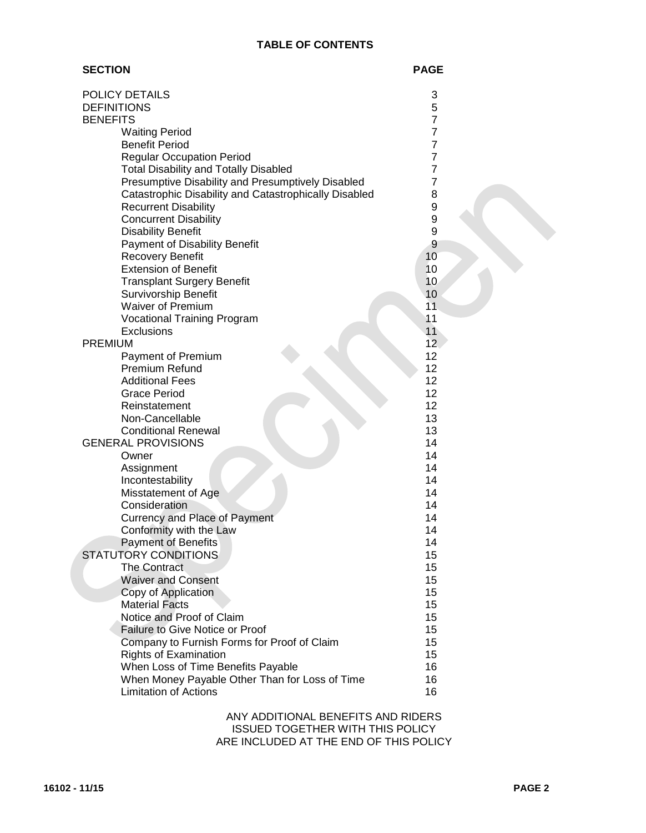| <b>SECTION</b>                                                                                    | <b>PAGE</b>    |
|---------------------------------------------------------------------------------------------------|----------------|
| POLICY DETAILS                                                                                    | 3              |
| <b>DEFINITIONS</b>                                                                                | 5              |
| <b>BENEFITS</b>                                                                                   | $\overline{7}$ |
|                                                                                                   | $\overline{7}$ |
| <b>Waiting Period</b><br><b>Benefit Period</b>                                                    | $\overline{7}$ |
|                                                                                                   | $\overline{7}$ |
| <b>Regular Occupation Period</b>                                                                  | $\overline{7}$ |
| <b>Total Disability and Totally Disabled</b><br>Presumptive Disability and Presumptively Disabled | $\overline{7}$ |
|                                                                                                   |                |
| Catastrophic Disability and Catastrophically Disabled<br><b>Recurrent Disability</b>              | 8              |
| <b>Concurrent Disability</b>                                                                      | 9<br>9         |
|                                                                                                   | 9              |
| <b>Disability Benefit</b>                                                                         | 9              |
| Payment of Disability Benefit<br>Recovery Benefit                                                 | 10             |
| <b>Extension of Benefit</b>                                                                       | 10             |
|                                                                                                   | 10             |
| <b>Transplant Surgery Benefit</b><br>Survivorship Benefit                                         | 10             |
| <b>Waiver of Premium</b>                                                                          | 11             |
| <b>Vocational Training Program</b>                                                                | 11             |
| Exclusions                                                                                        | 11             |
| <b>PREMIUM</b>                                                                                    | 12             |
| Payment of Premium                                                                                | 12             |
| Premium Refund                                                                                    | 12             |
| <b>Additional Fees</b>                                                                            | 12             |
| <b>Grace Period</b>                                                                               | 12             |
| Reinstatement                                                                                     | 12             |
| Non-Cancellable                                                                                   | 13             |
| <b>Conditional Renewal</b>                                                                        | 13             |
| <b>GENERAL PROVISIONS</b>                                                                         | 14             |
| Owner                                                                                             | 14             |
| Assignment                                                                                        | 14             |
| Incontestability                                                                                  | 14             |
| Misstatement of Age                                                                               | 14             |
| Consideration                                                                                     | 14             |
| <b>Currency and Place of Payment</b>                                                              | 14             |
| Conformity with the Law                                                                           | 14             |
| <b>Payment of Benefits</b>                                                                        | 14             |
| STATUTORY CONDITIONS                                                                              | 15             |
| <b>The Contract</b>                                                                               | 15             |
| <b>Waiver and Consent</b>                                                                         | 15             |
| Copy of Application                                                                               | 15             |
| <b>Material Facts</b>                                                                             | 15             |
| Notice and Proof of Claim                                                                         | 15             |
| Failure to Give Notice or Proof                                                                   | 15             |
| Company to Furnish Forms for Proof of Claim                                                       | 15             |
| <b>Rights of Examination</b>                                                                      | 15             |
| When Loss of Time Benefits Payable                                                                | 16             |
| When Money Payable Other Than for Loss of Time                                                    | 16             |
| <b>Limitation of Actions</b>                                                                      | 16             |
|                                                                                                   |                |

ANY ADDITIONAL BENEFITS AND RIDERS ISSUED TOGETHER WITH THIS POLICY ARE INCLUDED AT THE END OF THIS POLICY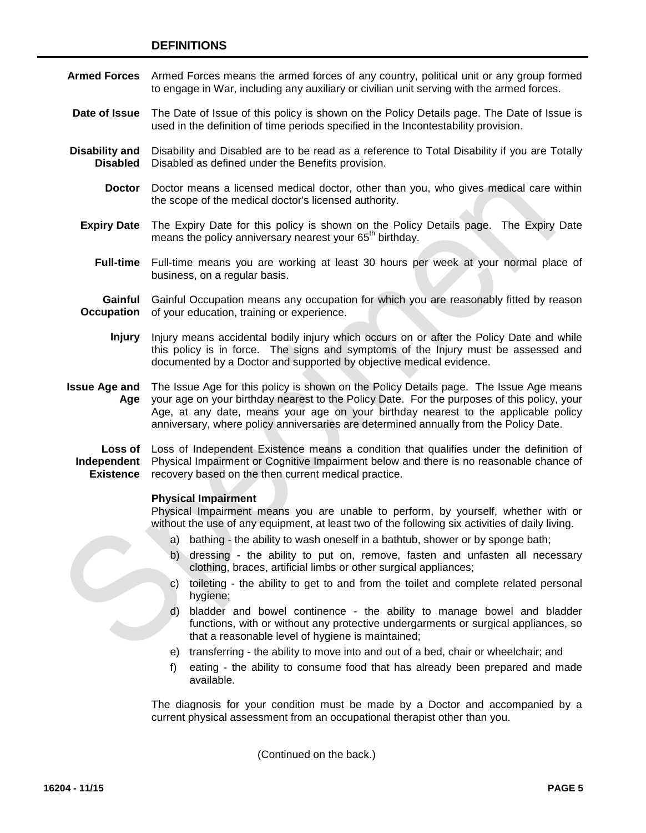#### **DEFINITIONS**

**Armed Forces** Armed Forces means the armed forces of any country, political unit or any group formed to engage in War, including any auxiliary or civilian unit serving with the armed forces.

**Date of Issue** The Date of Issue of this policy is shown on the Policy Details page. The Date of Issue is used in the definition of time periods specified in the Incontestability provision.

- **Disability and Disabled** Disability and Disabled are to be read as a reference to Total Disability if you are Totally Disabled as defined under the Benefits provision.
	- **Doctor** Doctor means a licensed medical doctor, other than you, who gives medical care within the scope of the medical doctor's licensed authority.
	- **Expiry Date** The Expiry Date for this policy is shown on the Policy Details page. The Expiry Date means the policy anniversary nearest your 65<sup>th</sup> birthday.
		- **Full-time** Full-time means you are working at least 30 hours per week at your normal place of business, on a regular basis.
	- **Gainful** Gainful Occupation means any occupation for which you are reasonably fitted by reason **Occupation** of your education, training or experience.
		- **Injury** Injury means accidental bodily injury which occurs on or after the Policy Date and while this policy is in force. The signs and symptoms of the Injury must be assessed and documented by a Doctor and supported by objective medical evidence.
- **Issue Age and** The Issue Age for this policy is shown on the Policy Details page. The Issue Age means **Age** your age on your birthday nearest to the Policy Date. For the purposes of this policy, your Age, at any date, means your age on your birthday nearest to the applicable policy anniversary, where policy anniversaries are determined annually from the Policy Date.

**Loss of** Loss of Independent Existence means a condition that qualifies under the definition of **Independent**  Physical Impairment or Cognitive Impairment below and there is no reasonable chance of **Existence** recovery based on the then current medical practice.

#### **Physical Impairment**

Physical Impairment means you are unable to perform, by yourself, whether with or without the use of any equipment, at least two of the following six activities of daily living.

- a) bathing the ability to wash oneself in a bathtub, shower or by sponge bath;
- b) dressing the ability to put on, remove, fasten and unfasten all necessary clothing, braces, artificial limbs or other surgical appliances;
- c) toileting the ability to get to and from the toilet and complete related personal hygiene;
- d) bladder and bowel continence the ability to manage bowel and bladder functions, with or without any protective undergarments or surgical appliances, so that a reasonable level of hygiene is maintained;
- e) transferring the ability to move into and out of a bed, chair or wheelchair; and
- f) eating the ability to consume food that has already been prepared and made available.

The diagnosis for your condition must be made by a Doctor and accompanied by a current physical assessment from an occupational therapist other than you.

(Continued on the back.)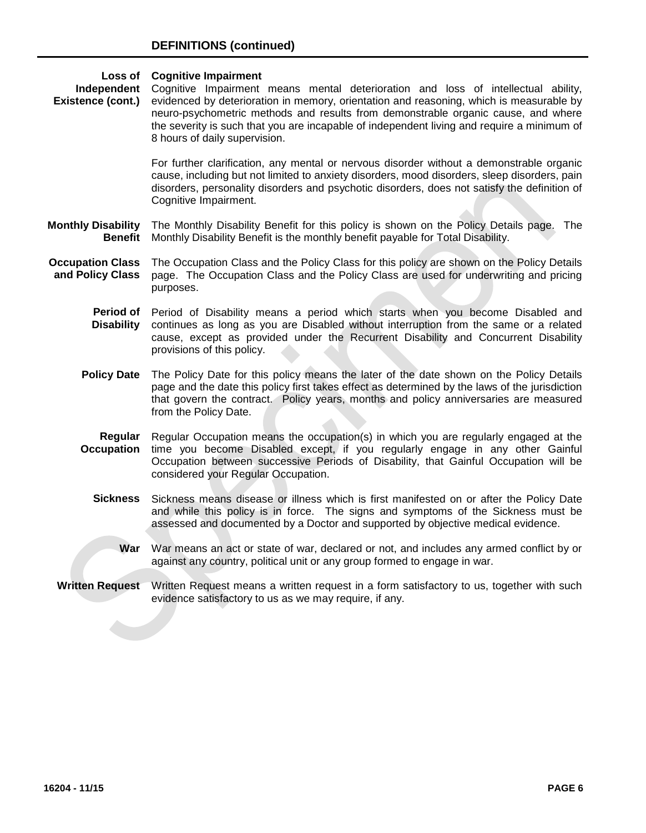| Loss of<br>Independent<br><b>Existence (cont.)</b> | <b>Cognitive Impairment</b><br>Cognitive Impairment means mental deterioration and loss of intellectual ability,<br>evidenced by deterioration in memory, orientation and reasoning, which is measurable by<br>neuro-psychometric methods and results from demonstrable organic cause, and where<br>the severity is such that you are incapable of independent living and require a minimum of<br>8 hours of daily supervision. |
|----------------------------------------------------|---------------------------------------------------------------------------------------------------------------------------------------------------------------------------------------------------------------------------------------------------------------------------------------------------------------------------------------------------------------------------------------------------------------------------------|
|                                                    | For further clarification, any mental or nervous disorder without a demonstrable organic<br>cause, including but not limited to anxiety disorders, mood disorders, sleep disorders, pain<br>disorders, personality disorders and psychotic disorders, does not satisfy the definition of<br>Cognitive Impairment.                                                                                                               |
| <b>Monthly Disability</b><br><b>Benefit</b>        | The Monthly Disability Benefit for this policy is shown on the Policy Details page.<br>The<br>Monthly Disability Benefit is the monthly benefit payable for Total Disability.                                                                                                                                                                                                                                                   |
| <b>Occupation Class</b><br>and Policy Class        | The Occupation Class and the Policy Class for this policy are shown on the Policy Details<br>page. The Occupation Class and the Policy Class are used for underwriting and pricing<br>purposes.                                                                                                                                                                                                                                 |
| Period of<br><b>Disability</b>                     | Period of Disability means a period which starts when you become Disabled and<br>continues as long as you are Disabled without interruption from the same or a related<br>cause, except as provided under the Recurrent Disability and Concurrent Disability<br>provisions of this policy.                                                                                                                                      |
| <b>Policy Date</b>                                 | The Policy Date for this policy means the later of the date shown on the Policy Details<br>page and the date this policy first takes effect as determined by the laws of the jurisdiction<br>that govern the contract. Policy years, months and policy anniversaries are measured<br>from the Policy Date.                                                                                                                      |
| Regular<br><b>Occupation</b>                       | Regular Occupation means the occupation(s) in which you are regularly engaged at the<br>time you become Disabled except, if you regularly engage in any other Gainful<br>Occupation between successive Periods of Disability, that Gainful Occupation will be<br>considered your Regular Occupation.                                                                                                                            |
| <b>Sickness</b>                                    | Sickness means disease or illness which is first manifested on or after the Policy Date<br>and while this policy is in force. The signs and symptoms of the Sickness must be<br>assessed and documented by a Doctor and supported by objective medical evidence.                                                                                                                                                                |
| War                                                | War means an act or state of war, declared or not, and includes any armed conflict by or<br>against any country, political unit or any group formed to engage in war.                                                                                                                                                                                                                                                           |
| <b>Written Request</b>                             | Written Request means a written request in a form satisfactory to us, together with such<br>evidence satisfactory to us as we may require, if any.                                                                                                                                                                                                                                                                              |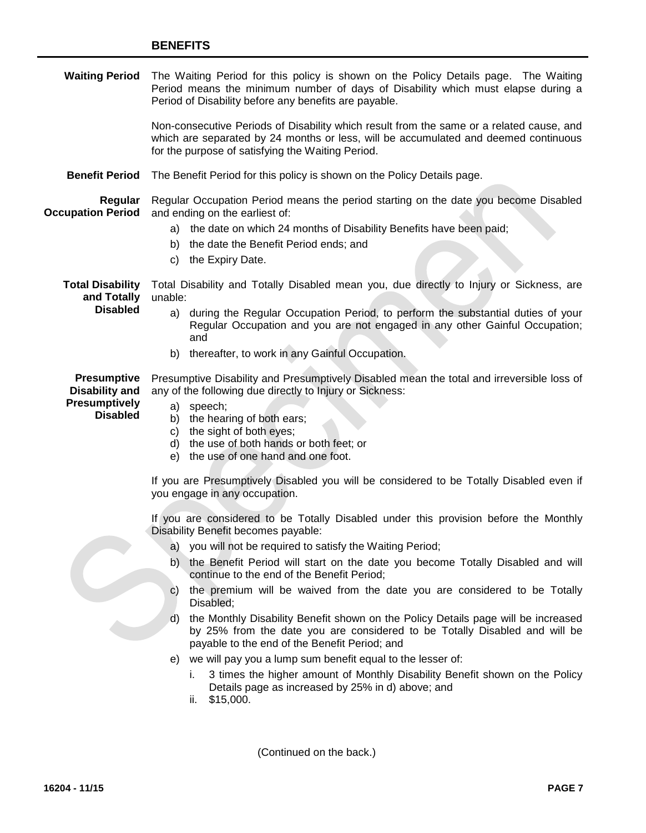| <b>Waiting Period</b>                                                                  | The Waiting Period for this policy is shown on the Policy Details page. The Waiting<br>Period means the minimum number of days of Disability which must elapse during a<br>Period of Disability before any benefits are payable.                                                                                                      |  |
|----------------------------------------------------------------------------------------|---------------------------------------------------------------------------------------------------------------------------------------------------------------------------------------------------------------------------------------------------------------------------------------------------------------------------------------|--|
|                                                                                        | Non-consecutive Periods of Disability which result from the same or a related cause, and<br>which are separated by 24 months or less, will be accumulated and deemed continuous<br>for the purpose of satisfying the Waiting Period.                                                                                                  |  |
| <b>Benefit Period</b>                                                                  | The Benefit Period for this policy is shown on the Policy Details page.                                                                                                                                                                                                                                                               |  |
| Regular<br><b>Occupation Period</b>                                                    | Regular Occupation Period means the period starting on the date you become Disabled<br>and ending on the earliest of:<br>the date on which 24 months of Disability Benefits have been paid;<br>a)<br>b) the date the Benefit Period ends; and<br>c) the Expiry Date.                                                                  |  |
| <b>Total Disability</b><br>and Totally<br><b>Disabled</b>                              | Total Disability and Totally Disabled mean you, due directly to Injury or Sickness, are<br>unable:<br>a) during the Regular Occupation Period, to perform the substantial duties of your<br>Regular Occupation and you are not engaged in any other Gainful Occupation;<br>and<br>b) thereafter, to work in any Gainful Occupation.   |  |
| <b>Presumptive</b><br><b>Disability and</b><br><b>Presumptively</b><br><b>Disabled</b> | Presumptive Disability and Presumptively Disabled mean the total and irreversible loss of<br>any of the following due directly to Injury or Sickness:<br>speech;<br>a)<br>the hearing of both ears;<br>b)<br>the sight of both eyes;<br>C)<br>the use of both hands or both feet; or<br>d)<br>the use of one hand and one foot.<br>e) |  |
|                                                                                        | If you are Presumptively Disabled you will be considered to be Totally Disabled even if<br>you engage in any occupation.<br>If you are considered to be Totally Disabled under this provision before the Monthly                                                                                                                      |  |
|                                                                                        | Disability Benefit becomes payable:<br>a) you will not be required to satisfy the Waiting Period;                                                                                                                                                                                                                                     |  |
|                                                                                        | b) the Benefit Period will start on the date you become Totally Disabled and will<br>continue to the end of the Benefit Period;                                                                                                                                                                                                       |  |
|                                                                                        | the premium will be waived from the date you are considered to be Totally<br>C)<br>Disabled;                                                                                                                                                                                                                                          |  |
|                                                                                        | the Monthly Disability Benefit shown on the Policy Details page will be increased<br>d)<br>by 25% from the date you are considered to be Totally Disabled and will be<br>payable to the end of the Benefit Period; and                                                                                                                |  |
|                                                                                        | e) we will pay you a lump sum benefit equal to the lesser of:                                                                                                                                                                                                                                                                         |  |
|                                                                                        | 3 times the higher amount of Monthly Disability Benefit shown on the Policy<br>Ĺ.<br>Details page as increased by 25% in d) above; and<br>\$15,000.<br>ii.                                                                                                                                                                            |  |
|                                                                                        |                                                                                                                                                                                                                                                                                                                                       |  |

(Continued on the back.)

**16204 - 11/15 PAGE 7**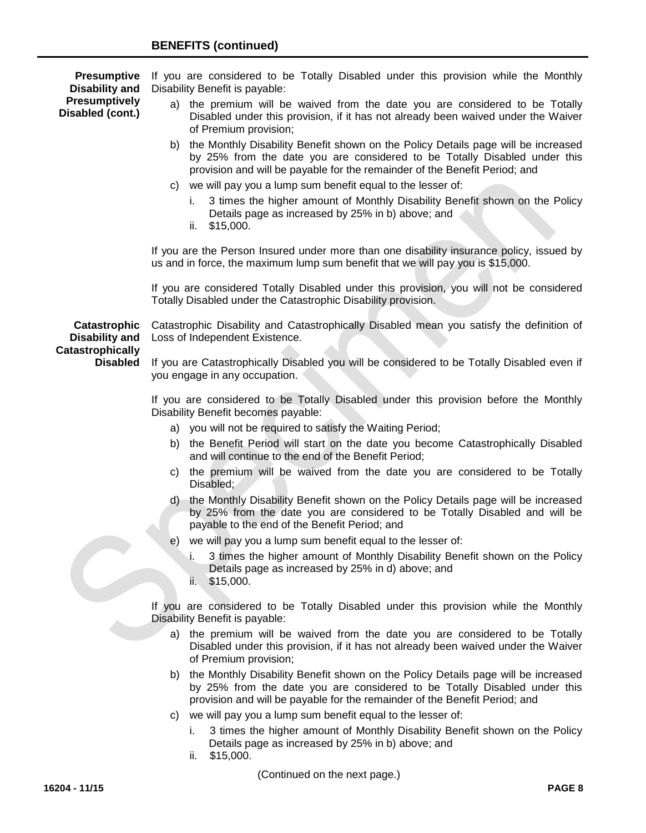| <b>Presumptive</b><br><b>Disability and</b>                                  | If you are considered to be Totally Disabled under this provision while the Monthly<br>Disability Benefit is payable:                                                                                                                              |
|------------------------------------------------------------------------------|----------------------------------------------------------------------------------------------------------------------------------------------------------------------------------------------------------------------------------------------------|
| Presumptively<br>Disabled (cont.)                                            | the premium will be waived from the date you are considered to be Totally<br>a)<br>Disabled under this provision, if it has not already been waived under the Waiver<br>of Premium provision;                                                      |
|                                                                              | the Monthly Disability Benefit shown on the Policy Details page will be increased<br>b)<br>by 25% from the date you are considered to be Totally Disabled under this<br>provision and will be payable for the remainder of the Benefit Period; and |
|                                                                              | c) we will pay you a lump sum benefit equal to the lesser of:                                                                                                                                                                                      |
|                                                                              | 3 times the higher amount of Monthly Disability Benefit shown on the Policy<br>Ĺ.<br>Details page as increased by 25% in b) above; and<br>\$15,000.<br>ii.                                                                                         |
|                                                                              | If you are the Person Insured under more than one disability insurance policy, issued by<br>us and in force, the maximum lump sum benefit that we will pay you is \$15,000.                                                                        |
|                                                                              | If you are considered Totally Disabled under this provision, you will not be considered<br>Totally Disabled under the Catastrophic Disability provision.                                                                                           |
| Catastrophic<br><b>Disability and</b><br>Catastrophically<br><b>Disabled</b> | Catastrophic Disability and Catastrophically Disabled mean you satisfy the definition of<br>Loss of Independent Existence.                                                                                                                         |
|                                                                              | If you are Catastrophically Disabled you will be considered to be Totally Disabled even if<br>you engage in any occupation.                                                                                                                        |
|                                                                              | If you are considered to be Totally Disabled under this provision before the Monthly<br>Disability Benefit becomes payable:                                                                                                                        |
|                                                                              | a) you will not be required to satisfy the Waiting Period;                                                                                                                                                                                         |
|                                                                              | b) the Benefit Period will start on the date you become Catastrophically Disabled<br>and will continue to the end of the Benefit Period;                                                                                                           |
|                                                                              | c) the premium will be waived from the date you are considered to be Totally<br>Disabled;                                                                                                                                                          |
|                                                                              | the Monthly Disability Benefit shown on the Policy Details page will be increased<br>d)<br>by 25% from the date you are considered to be Totally Disabled and will be<br>payable to the end of the Benefit Period; and                             |
|                                                                              | we will pay you a lump sum benefit equal to the lesser of:<br>e)                                                                                                                                                                                   |
|                                                                              | 3 times the higher amount of Monthly Disability Benefit shown on the Policy<br>Details page as increased by 25% in d) above; and<br>ii.<br>\$15,000.                                                                                               |
|                                                                              | If you are considered to be Totally Disabled under this provision while the Monthly<br>Disability Benefit is payable:                                                                                                                              |
|                                                                              | a) the premium will be waived from the date you are considered to be Totally<br>Disabled under this provision, if it has not already been waived under the Waiver<br>of Premium provision;                                                         |
|                                                                              | b) the Monthly Disability Benefit shown on the Policy Details page will be increased<br>by 25% from the date you are considered to be Totally Disabled under this<br>provision and will be payable for the remainder of the Benefit Period; and    |
|                                                                              | we will pay you a lump sum benefit equal to the lesser of:<br>C)                                                                                                                                                                                   |
|                                                                              | 3 times the higher amount of Monthly Disability Benefit shown on the Policy<br>İ.<br>Details page as increased by 25% in b) above; and<br>\$15,000.<br>ii.                                                                                         |

(Continued on the next page.)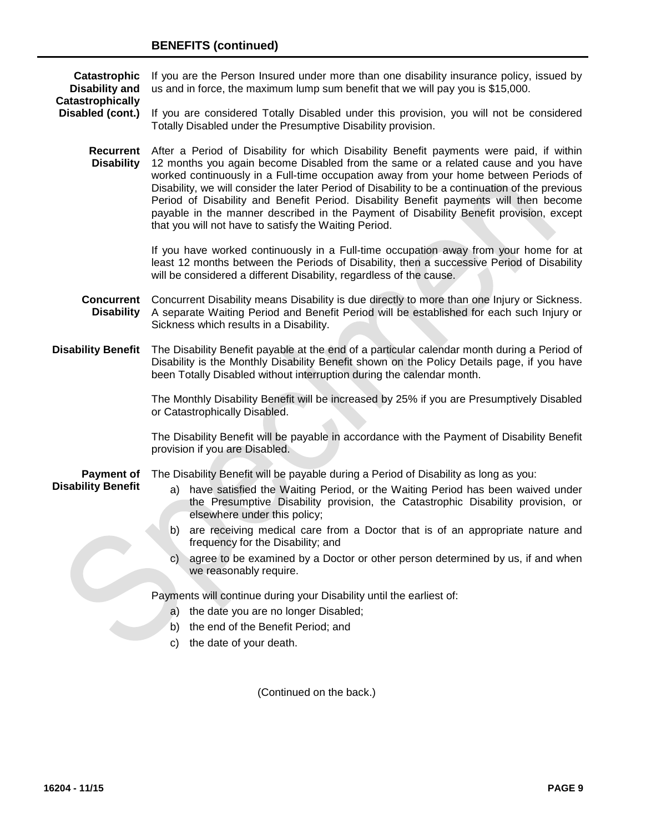**Catastrophic Disability and Catastrophically Disabled (cont.)** If you are the Person Insured under more than one disability insurance policy, issued by us and in force, the maximum lump sum benefit that we will pay you is \$15,000. If you are considered Totally Disabled under this provision, you will not be considered Totally Disabled under the Presumptive Disability provision. **Recurrent Disability** After a Period of Disability for which Disability Benefit payments were paid, if within 12 months you again become Disabled from the same or a related cause and you have worked continuously in a Full-time occupation away from your home between Periods of Disability, we will consider the later Period of Disability to be a continuation of the previous Period of Disability and Benefit Period. Disability Benefit payments will then become payable in the manner described in the Payment of Disability Benefit provision, except that you will not have to satisfy the Waiting Period. If you have worked continuously in a Full-time occupation away from your home for at least 12 months between the Periods of Disability, then a successive Period of Disability will be considered a different Disability, regardless of the cause. **Concurrent** Concurrent Disability means Disability is due directly to more than one Injury or Sickness. **Disability**  A separate Waiting Period and Benefit Period will be established for each such Injury or Sickness which results in a Disability. **Disability Benefit** The Disability Benefit payable at the end of a particular calendar month during a Period of Disability is the Monthly Disability Benefit shown on the Policy Details page, if you have been Totally Disabled without interruption during the calendar month. The Monthly Disability Benefit will be increased by 25% if you are Presumptively Disabled or Catastrophically Disabled. The Disability Benefit will be payable in accordance with the Payment of Disability Benefit provision if you are Disabled. **Payment of Disability Benefit** The Disability Benefit will be payable during a Period of Disability as long as you: a) have satisfied the Waiting Period, or the Waiting Period has been waived under the Presumptive Disability provision, the Catastrophic Disability provision, or elsewhere under this policy; b) are receiving medical care from a Doctor that is of an appropriate nature and frequency for the Disability; and c) agree to be examined by a Doctor or other person determined by us, if and when we reasonably require. Payments will continue during your Disability until the earliest of: a) the date you are no longer Disabled; b) the end of the Benefit Period; and c) the date of your death.

(Continued on the back.)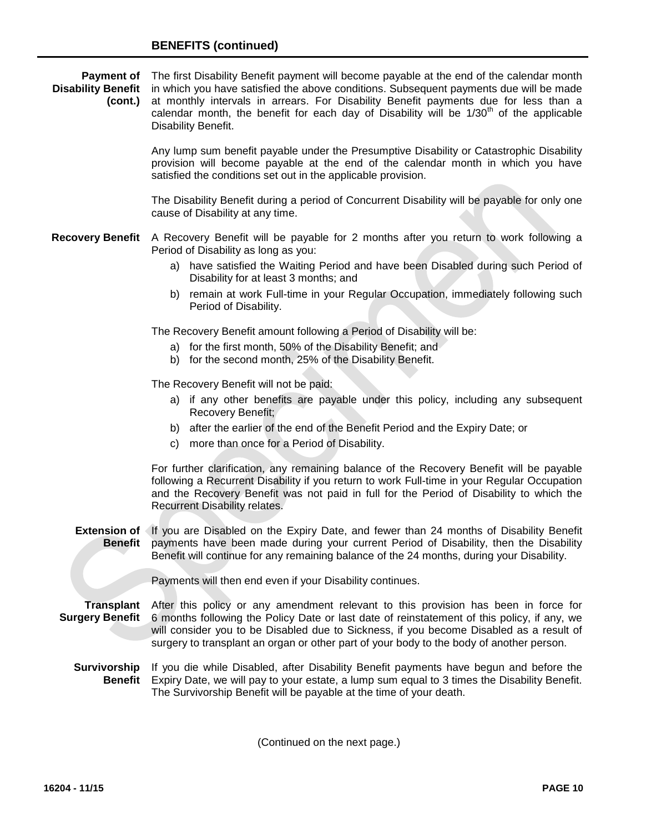**Payment of Disability Benefit (cont.)** The first Disability Benefit payment will become payable at the end of the calendar month in which you have satisfied the above conditions. Subsequent payments due will be made at monthly intervals in arrears. For Disability Benefit payments due for less than a calendar month, the benefit for each day of Disability will be  $1/30<sup>th</sup>$  of the applicable Disability Benefit.

> Any lump sum benefit payable under the Presumptive Disability or Catastrophic Disability provision will become payable at the end of the calendar month in which you have satisfied the conditions set out in the applicable provision.

> The Disability Benefit during a period of Concurrent Disability will be payable for only one cause of Disability at any time.

- **Recovery Benefit** A Recovery Benefit will be payable for 2 months after you return to work following a Period of Disability as long as you:
	- a) have satisfied the Waiting Period and have been Disabled during such Period of Disability for at least 3 months; and
	- b) remain at work Full-time in your Regular Occupation, immediately following such Period of Disability.

The Recovery Benefit amount following a Period of Disability will be:

- a) for the first month, 50% of the Disability Benefit; and
- b) for the second month, 25% of the Disability Benefit.

The Recovery Benefit will not be paid:

- a) if any other benefits are payable under this policy, including any subsequent Recovery Benefit;
- b) after the earlier of the end of the Benefit Period and the Expiry Date; or
- c) more than once for a Period of Disability.

For further clarification, any remaining balance of the Recovery Benefit will be payable following a Recurrent Disability if you return to work Full-time in your Regular Occupation and the Recovery Benefit was not paid in full for the Period of Disability to which the Recurrent Disability relates.

**Extension of <** If you are Disabled on the Expiry Date, and fewer than 24 months of Disability Benefit **Benefit** payments have been made during your current Period of Disability, then the Disability Benefit will continue for any remaining balance of the 24 months, during your Disability.

Payments will then end even if your Disability continues.

**Transplant Surgery Benefit** After this policy or any amendment relevant to this provision has been in force for 6 months following the Policy Date or last date of reinstatement of this policy, if any, we will consider you to be Disabled due to Sickness, if you become Disabled as a result of surgery to transplant an organ or other part of your body to the body of another person.

**Survivorship Benefit** If you die while Disabled, after Disability Benefit payments have begun and before the Expiry Date, we will pay to your estate, a lump sum equal to 3 times the Disability Benefit. The Survivorship Benefit will be payable at the time of your death.

(Continued on the next page.)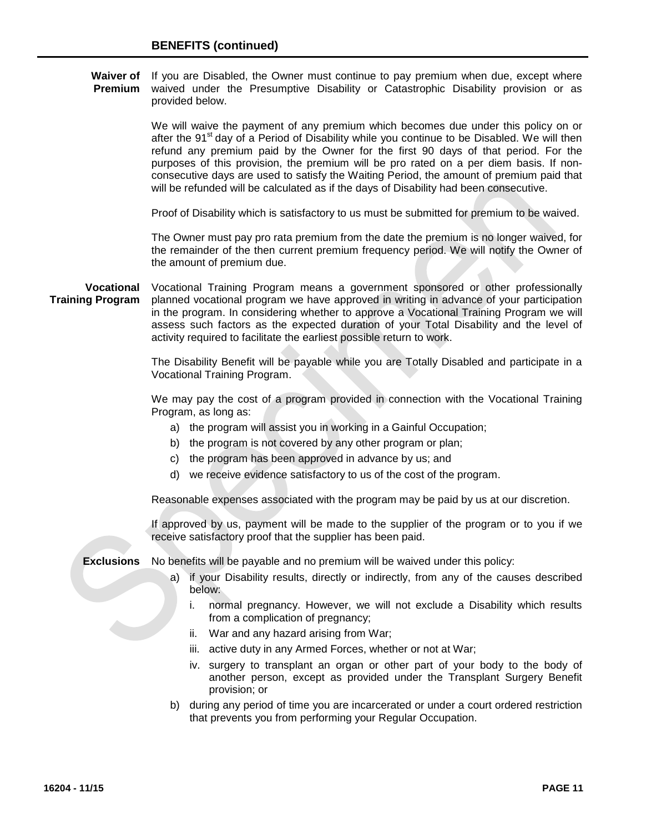**Waiver of Premium** If you are Disabled, the Owner must continue to pay premium when due, except where waived under the Presumptive Disability or Catastrophic Disability provision or as provided below.

> We will waive the payment of any premium which becomes due under this policy on or after the 91<sup>st</sup> day of a Period of Disability while you continue to be Disabled. We will then refund any premium paid by the Owner for the first 90 days of that period. For the purposes of this provision, the premium will be pro rated on a per diem basis. If nonconsecutive days are used to satisfy the Waiting Period, the amount of premium paid that will be refunded will be calculated as if the days of Disability had been consecutive.

> Proof of Disability which is satisfactory to us must be submitted for premium to be waived.

The Owner must pay pro rata premium from the date the premium is no longer waived, for the remainder of the then current premium frequency period. We will notify the Owner of the amount of premium due.

**Vocational Training Program** Vocational Training Program means a government sponsored or other professionally planned vocational program we have approved in writing in advance of your participation in the program. In considering whether to approve a Vocational Training Program we will assess such factors as the expected duration of your Total Disability and the level of activity required to facilitate the earliest possible return to work.

> The Disability Benefit will be payable while you are Totally Disabled and participate in a Vocational Training Program.

> We may pay the cost of a program provided in connection with the Vocational Training Program, as long as:

- a) the program will assist you in working in a Gainful Occupation;
- b) the program is not covered by any other program or plan;
- c) the program has been approved in advance by us; and
- d) we receive evidence satisfactory to us of the cost of the program.

Reasonable expenses associated with the program may be paid by us at our discretion.

If approved by us, payment will be made to the supplier of the program or to you if we receive satisfactory proof that the supplier has been paid.

**Exclusions** No benefits will be payable and no premium will be waived under this policy:

- a) if your Disability results, directly or indirectly, from any of the causes described below:
	- i. normal pregnancy. However, we will not exclude a Disability which results from a complication of pregnancy;
	- ii. War and any hazard arising from War;
	- iii. active duty in any Armed Forces, whether or not at War;
	- iv. surgery to transplant an organ or other part of your body to the body of another person, except as provided under the Transplant Surgery Benefit provision; or
- b) during any period of time you are incarcerated or under a court ordered restriction that prevents you from performing your Regular Occupation.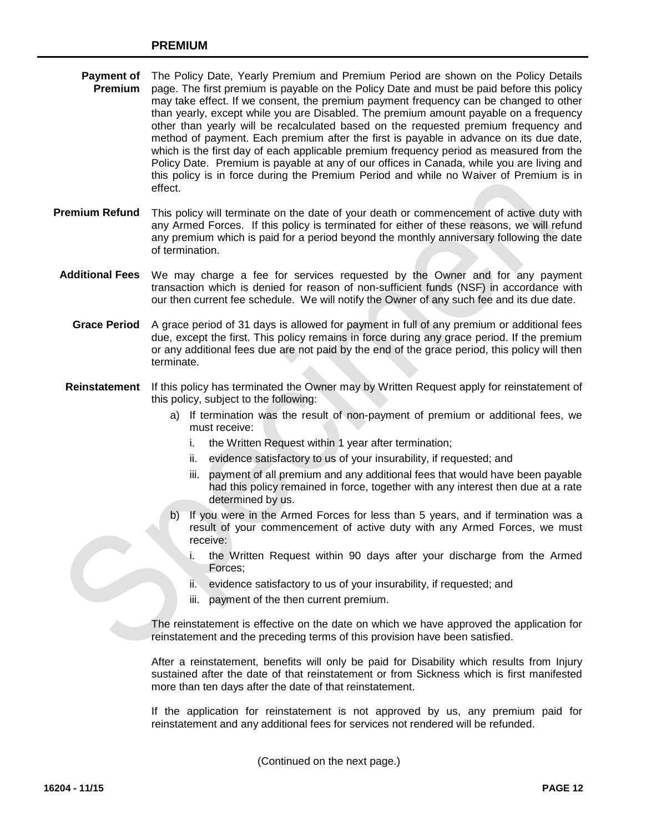**Payment of** 

| Pavillent of   | The Policy Date, Teally Plemium and Plemium Penod are shown on the Policy Details         |
|----------------|-------------------------------------------------------------------------------------------|
| <b>Premium</b> | page. The first premium is payable on the Policy Date and must be paid before this policy |
|                | may take effect. If we consent, the premium payment frequency can be changed to other     |
|                | than yearly, except while you are Disabled. The premium amount payable on a frequency     |
|                | other than yearly will be recalculated based on the requested premium frequency and       |
|                | method of payment. Each premium after the first is payable in advance on its due date,    |
|                | which is the first day of each applicable premium frequency period as measured from the   |
|                | Policy Date. Premium is payable at any of our offices in Canada, while you are living and |
|                | this policy is in force during the Premium Period and while no Waiver of Premium is in    |
|                | effect.                                                                                   |
|                |                                                                                           |

The Policy Date, Yearly Premium and Premium Period are shown on the Policy Details

- **Premium Refund** This policy will terminate on the date of your death or commencement of active duty with any Armed Forces. If this policy is terminated for either of these reasons, we will refund any premium which is paid for a period beyond the monthly anniversary following the date of termination.
- **Additional Fees** We may charge a fee for services requested by the Owner and for any payment transaction which is denied for reason of non-sufficient funds (NSF) in accordance with our then current fee schedule. We will notify the Owner of any such fee and its due date.
	- **Grace Period** A grace period of 31 days is allowed for payment in full of any premium or additional fees due, except the first. This policy remains in force during any grace period. If the premium or any additional fees due are not paid by the end of the grace period, this policy will then terminate.
- **Reinstatement** If this policy has terminated the Owner may by Written Request apply for reinstatement of this policy, subject to the following:
	- a) If termination was the result of non-payment of premium or additional fees, we must receive:
		- i. the Written Request within 1 year after termination;
		- ii. evidence satisfactory to us of your insurability, if requested; and
		- iii. payment of all premium and any additional fees that would have been payable had this policy remained in force, together with any interest then due at a rate determined by us.
	- b) If you were in the Armed Forces for less than 5 years, and if termination was a result of your commencement of active duty with any Armed Forces, we must receive:
		- i. the Written Request within 90 days after your discharge from the Armed Forces;
		- ii. evidence satisfactory to us of your insurability, if requested; and
		- iii. payment of the then current premium.

The reinstatement is effective on the date on which we have approved the application for reinstatement and the preceding terms of this provision have been satisfied.

After a reinstatement, benefits will only be paid for Disability which results from Injury sustained after the date of that reinstatement or from Sickness which is first manifested more than ten days after the date of that reinstatement.

If the application for reinstatement is not approved by us, any premium paid for reinstatement and any additional fees for services not rendered will be refunded.

(Continued on the next page.)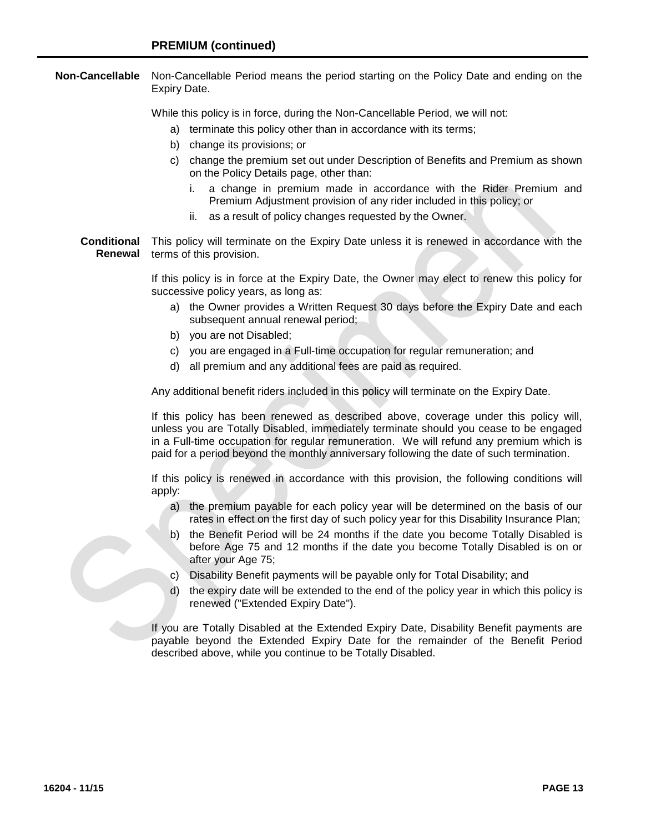**Non-Cancellable** Non-Cancellable Period means the period starting on the Policy Date and ending on the Expiry Date.

While this policy is in force, during the Non-Cancellable Period, we will not:

- a) terminate this policy other than in accordance with its terms;
- b) change its provisions; or
- c) change the premium set out under Description of Benefits and Premium as shown on the Policy Details page, other than:
	- i. a change in premium made in accordance with the Rider Premium and Premium Adjustment provision of any rider included in this policy; or
	- ii. as a result of policy changes requested by the Owner.
- **Conditional**  This policy will terminate on the Expiry Date unless it is renewed in accordance with the **Renewal** terms of this provision.

If this policy is in force at the Expiry Date, the Owner may elect to renew this policy for successive policy years, as long as:

- a) the Owner provides a Written Request 30 days before the Expiry Date and each subsequent annual renewal period;
- b) you are not Disabled;
- c) you are engaged in a Full-time occupation for regular remuneration; and
- d) all premium and any additional fees are paid as required.

Any additional benefit riders included in this policy will terminate on the Expiry Date.

If this policy has been renewed as described above, coverage under this policy will, unless you are Totally Disabled, immediately terminate should you cease to be engaged in a Full-time occupation for regular remuneration. We will refund any premium which is paid for a period beyond the monthly anniversary following the date of such termination.

If this policy is renewed in accordance with this provision, the following conditions will apply:

- a) the premium payable for each policy year will be determined on the basis of our rates in effect on the first day of such policy year for this Disability Insurance Plan;
- b) the Benefit Period will be 24 months if the date you become Totally Disabled is before Age 75 and 12 months if the date you become Totally Disabled is on or after your Age 75;
- c) Disability Benefit payments will be payable only for Total Disability; and
- d) the expiry date will be extended to the end of the policy year in which this policy is renewed ("Extended Expiry Date").

If you are Totally Disabled at the Extended Expiry Date, Disability Benefit payments are payable beyond the Extended Expiry Date for the remainder of the Benefit Period described above, while you continue to be Totally Disabled.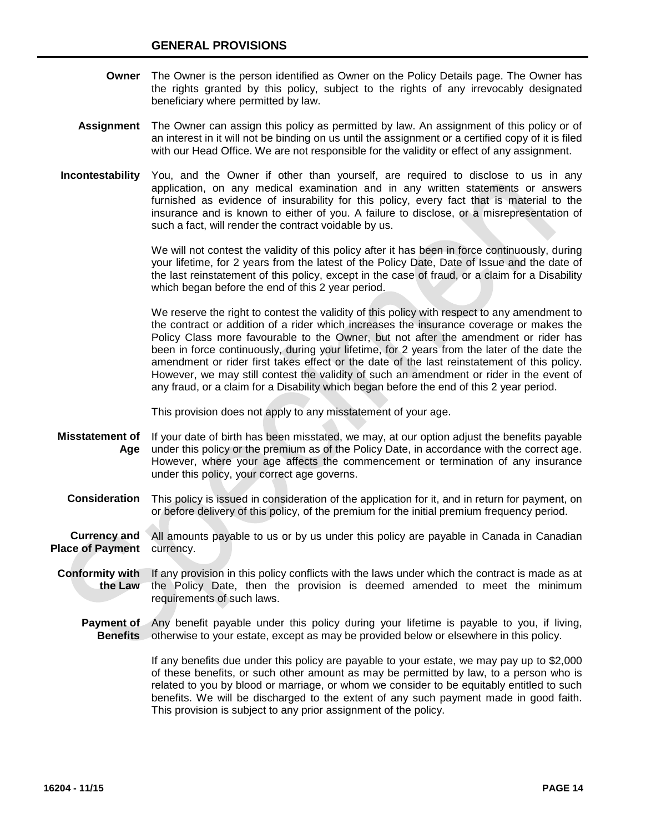- **Owner** The Owner is the person identified as Owner on the Policy Details page. The Owner has the rights granted by this policy, subject to the rights of any irrevocably designated beneficiary where permitted by law.
- **Assignment** The Owner can assign this policy as permitted by law. An assignment of this policy or of an interest in it will not be binding on us until the assignment or a certified copy of it is filed with our Head Office. We are not responsible for the validity or effect of any assignment.
- **Incontestability** You, and the Owner if other than yourself, are required to disclose to us in any application, on any medical examination and in any written statements or answers furnished as evidence of insurability for this policy, every fact that is material to the insurance and is known to either of you. A failure to disclose, or a misrepresentation of such a fact, will render the contract voidable by us.

We will not contest the validity of this policy after it has been in force continuously, during your lifetime, for 2 years from the latest of the Policy Date, Date of Issue and the date of the last reinstatement of this policy, except in the case of fraud, or a claim for a Disability which began before the end of this 2 year period.

We reserve the right to contest the validity of this policy with respect to any amendment to the contract or addition of a rider which increases the insurance coverage or makes the Policy Class more favourable to the Owner, but not after the amendment or rider has been in force continuously, during your lifetime, for 2 years from the later of the date the amendment or rider first takes effect or the date of the last reinstatement of this policy. However, we may still contest the validity of such an amendment or rider in the event of any fraud, or a claim for a Disability which began before the end of this 2 year period.

This provision does not apply to any misstatement of your age.

- **Misstatement of Age** If your date of birth has been misstated, we may, at our option adjust the benefits payable under this policy or the premium as of the Policy Date, in accordance with the correct age. However, where your age affects the commencement or termination of any insurance under this policy, your correct age governs.
	- **Consideration** This policy is issued in consideration of the application for it, and in return for payment, on or before delivery of this policy, of the premium for the initial premium frequency period.

**Currency and Place of Payment** currency. All amounts payable to us or by us under this policy are payable in Canada in Canadian

- **Conformity with the Law** If any provision in this policy conflicts with the laws under which the contract is made as at the Policy Date, then the provision is deemed amended to meet the minimum requirements of such laws.
	- **Payment of** Any benefit payable under this policy during your lifetime is payable to you, if living, **Benefits** otherwise to your estate, except as may be provided below or elsewhere in this policy.

If any benefits due under this policy are payable to your estate, we may pay up to \$2,000 of these benefits, or such other amount as may be permitted by law, to a person who is related to you by blood or marriage, or whom we consider to be equitably entitled to such benefits. We will be discharged to the extent of any such payment made in good faith. This provision is subject to any prior assignment of the policy.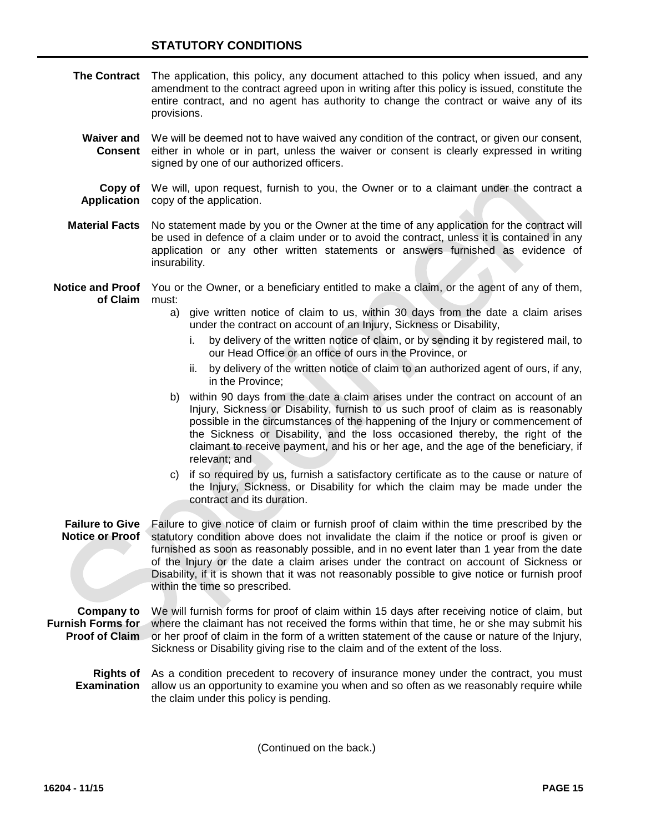- **The Contract** The application, this policy, any document attached to this policy when issued, and any amendment to the contract agreed upon in writing after this policy is issued, constitute the entire contract, and no agent has authority to change the contract or waive any of its provisions.
	- **Waiver and Consent** We will be deemed not to have waived any condition of the contract, or given our consent, either in whole or in part, unless the waiver or consent is clearly expressed in writing signed by one of our authorized officers.

**Copy of**  We will, upon request, furnish to you, the Owner or to a claimant under the contract a **Application** copy of the application.

- **Material Facts** No statement made by you or the Owner at the time of any application for the contract will be used in defence of a claim under or to avoid the contract, unless it is contained in any application or any other written statements or answers furnished as evidence of insurability.
- **Notice and Proof**  You or the Owner, or a beneficiary entitled to make a claim, or the agent of any of them, **of Claim** must:
	- a) give written notice of claim to us, within 30 days from the date a claim arises under the contract on account of an Injury, Sickness or Disability,
		- i. by delivery of the written notice of claim, or by sending it by registered mail, to our Head Office or an office of ours in the Province, or
		- ii. by delivery of the written notice of claim to an authorized agent of ours, if any, in the Province;
	- b) within 90 days from the date a claim arises under the contract on account of an Injury, Sickness or Disability, furnish to us such proof of claim as is reasonably possible in the circumstances of the happening of the Injury or commencement of the Sickness or Disability, and the loss occasioned thereby, the right of the claimant to receive payment, and his or her age, and the age of the beneficiary, if relevant; and
	- c) if so required by us, furnish a satisfactory certificate as to the cause or nature of the Injury, Sickness, or Disability for which the claim may be made under the contract and its duration.

**Failure to Give** Failure to give notice of claim or furnish proof of claim within the time prescribed by the **Notice or Proof** statutory condition above does not invalidate the claim if the notice or proof is given or furnished as soon as reasonably possible, and in no event later than 1 year from the date of the Injury or the date a claim arises under the contract on account of Sickness or Disability, if it is shown that it was not reasonably possible to give notice or furnish proof within the time so prescribed.

**Company to**  We will furnish forms for proof of claim within 15 days after receiving notice of claim, but **Furnish Forms for** where the claimant has not received the forms within that time, he or she may submit his **Proof of Claim** or her proof of claim in the form of a written statement of the cause or nature of the Injury, Sickness or Disability giving rise to the claim and of the extent of the loss.

**Rights of Examination** As a condition precedent to recovery of insurance money under the contract, you must allow us an opportunity to examine you when and so often as we reasonably require while the claim under this policy is pending.

(Continued on the back.)